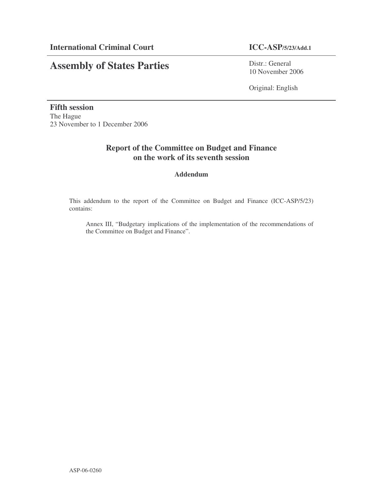# **Assembly of States Parties**

Distr.: General 10 November 2006

Original: English

**Fifth session** The Hague 23 November to 1 December 2006

# **Report of the Committee on Budget and Finance on the work of its seventh session**

### **Addendum**

This addendum to the report of the Committee on Budget and Finance (ICC-ASP/5/23) contains:

Annex III, "Budgetary implications of the implementation of the recommendations of the Committee on Budget and Finance".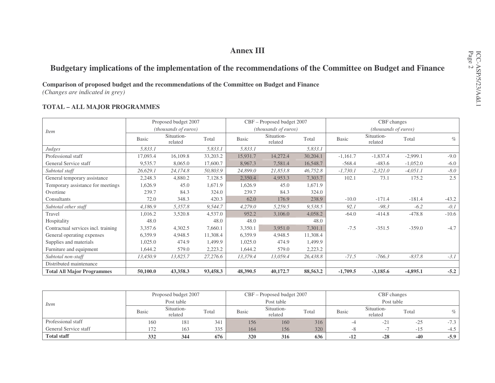# **Annex III**

# **Budgetary implications of the implementation of the recommendations of the Committee on Budget and Finance**

**Comparison of proposed budget and the recommendations of the Committee on Budget and Finance** *(Changes are indicated in grey)*

#### **TOTAL – ALL MAJOR PROGRAMMES**

|                                     |              | Proposed budget 2007  |          |              | CBF – Proposed budget 2007  |          |              | CBF changes           |            |         |
|-------------------------------------|--------------|-----------------------|----------|--------------|-----------------------------|----------|--------------|-----------------------|------------|---------|
| <i>Item</i>                         |              | (thousands of euros)  |          |              | <i>(thousands of euros)</i> |          |              | (thousands of euros)  |            |         |
|                                     | <b>Basic</b> | Situation-<br>related | Total    | <b>Basic</b> | Situation-<br>related       | Total    | <b>Basic</b> | Situation-<br>related | Total      | $\%$    |
| Judges                              | 5,833.1      |                       | 5,833.1  | 5,833.1      |                             | 5,833.1  |              |                       |            |         |
| Professional staff                  | 17,093.4     | 16,109.8              | 33,203.2 | 15,931.7     | 14,272.4                    | 30,204.1 | $-1,161.7$   | $-1,837.4$            | $-2,999.1$ | $-9.0$  |
| General Service staff               | 9,535.7      | 8,065.0               | 17,600.7 | 8,967.3      | 7,581.4                     | 16,548.7 | $-568.4$     | $-483.6$              | $-1,052.0$ | $-6.0$  |
| Subtotal staff                      | 26,629.1     | 24,174.8              | 50,803.9 | 24,899.0     | 21,853.8                    | 46,752.8 | $-1,730.1$   | $-2,321.0$            | $-4,051.1$ | $-8.0$  |
| General temporary assistance        | 2,248.3      | 4,880.2               | 7,128.5  | 2,350.4      | 4,953.3                     | 7,303.7  | 102.1        | 73.1                  | 175.2      | 2.5     |
| Temporary assistance for meetings   | 1,626.9      | 45.0                  | 1,671.9  | 1,626.9      | 45.0                        | 1,671.9  |              |                       |            |         |
| Overtime                            | 239.7        | 84.3                  | 324.0    | 239.7        | 84.3                        | 324.0    |              |                       |            |         |
| Consultants                         | 72.0         | 348.3                 | 420.3    | 62.0         | 176.9                       | 238.9    | $-10.0$      | $-171.4$              | $-181.4$   | $-43.2$ |
| Subtotal other staff                | 4,186.9      | 5,357.8               | 9,544.7  | 4,279.0      | 5,259.5                     | 9,538.5  | 92.1         | $-98.3$               | $-6.2$     | $-0.1$  |
| Travel                              | 1,016.2      | 3,520.8               | 4,537.0  | 952.2        | 3,106.0                     | 4,058.2  | $-64.0$      | $-414.8$              | $-478.8$   | $-10.6$ |
| Hospitality                         | 48.0         |                       | 48.0     | 48.0         |                             | 48.0     |              |                       |            |         |
| Contractual services incl. training | 3,357.6      | 4,302.5               | 7,660.1  | 3,350.1      | 3,951.0                     | 7,301.1  | $-7.5$       | $-351.5$              | $-359.0$   | $-4.7$  |
| General operating expenses          | 6,359.9      | 4,948.5               | 11,308.4 | 6,359.9      | 4,948.5                     | 11,308.4 |              |                       |            |         |
| Supplies and materials              | 1,025.0      | 474.9                 | 1,499.9  | 1,025.0      | 474.9                       | 1,499.9  |              |                       |            |         |
| Furniture and equipment             | 1,644.2      | 579.0                 | 2,223.2  | 1,644.2      | 579.0                       | 2,223.2  |              |                       |            |         |
| Subtotal non-staff                  | 13,450.9     | 13,825.7              | 27,276.6 | 13,379.4     | 13,059.4                    | 26,438.8 | $-71.5$      | $-766.3$              | $-837.8$   | $-3.1$  |
| Distributed maintenance             |              |                       |          |              |                             |          |              |                       |            |         |
| <b>Total All Major Programmes</b>   | 50,100.0     | 43,358.3              | 93,458.3 | 48,390.5     | 40,172.7                    | 88,563.2 | $-1,709.5$   | $-3,185.6$            | $-4,895.1$ | $-5.2$  |

|                       |              | Proposed budget 2007  |       |       | CBF – Proposed budget 2007 |       |              | CBF changes              |          |        |
|-----------------------|--------------|-----------------------|-------|-------|----------------------------|-------|--------------|--------------------------|----------|--------|
| <i>Item</i>           |              | Post table            |       |       | Post table                 |       |              | Post table               |          |        |
|                       | <b>Basic</b> | Situation-<br>related | Total | Basic | Situation-<br>related      | Total | <b>Basic</b> | Situation-<br>related    | Total    | $\%$   |
| Professional staff    | 160          | 181                   | 341   | 156   | 160                        | 316   |              | $-21$                    | $-25$    | $-7.3$ |
| General Service staff | 172          | 163                   | 335   | 164   | 156                        | 320   | -^           | $\overline{\phantom{a}}$ | $-1$ $-$ | $-4.5$ |
| <b>Total staff</b>    | 332          | 344                   | 676   | 320   | 316                        | 636   | $-12$        | $-28$                    | $-40$    | $-5.9$ |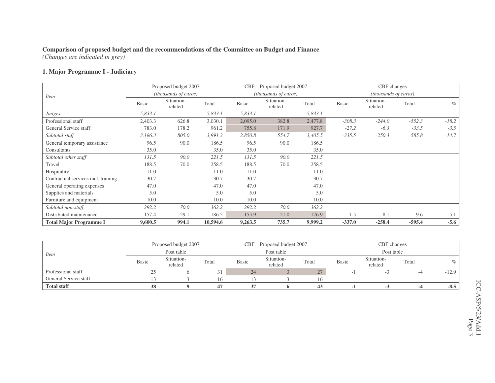*(Changes are indicated in grey)*

#### **1. Major Programme I - Judiciary**

|                                     |              | Proposed budget 2007          |          |              | CBF - Proposed budget 2007  |         |              | CBF changes           |          |         |
|-------------------------------------|--------------|-------------------------------|----------|--------------|-----------------------------|---------|--------------|-----------------------|----------|---------|
| <i>Item</i>                         |              | ( <i>thousands of euros</i> ) |          |              | <i>(thousands of euros)</i> |         |              | (thousands of euros)  |          |         |
|                                     | <b>Basic</b> | Situation-<br>related         | Total    | <b>Basic</b> | Situation-<br>related       | Total   | <b>Basic</b> | Situation-<br>related | Total    | $\%$    |
| Judges                              | 5,833.1      |                               | 5,833.1  | 5,833.1      |                             | 5,833.1 |              |                       |          |         |
| Professional staff                  | 2,403.3      | 626.8                         | 3,030.1  | 2,095.0      | 382.8                       | 2,477.8 | $-308.3$     | $-244.0$              | $-552.3$ | $-18.2$ |
| General Service staff               | 783.0        | 178.2                         | 961.2    | 755.8        | 171.9                       | 927.7   | $-27.2$      | $-6.3$                | $-33.5$  | $-3.5$  |
| Subtotal staff                      | 3,186.3      | 805.0                         | 3,991.3  | 2,850.8      | 554.7                       | 3,405.5 | $-335.5$     | $-250.3$              | $-585.8$ | $-14.7$ |
| General temporary assistance        | 96.5         | 90.0                          | 186.5    | 96.5         | 90.0                        | 186.5   |              |                       |          |         |
| Consultants                         | 35.0         |                               | 35.0     | 35.0         |                             | 35.0    |              |                       |          |         |
| Subtotal other staff                | 131.5        | 90.0                          | 221.5    | 131.5        | 90.0                        | 221.5   |              |                       |          |         |
| Travel                              | 188.5        | 70.0                          | 258.5    | 188.5        | 70.0                        | 258.5   |              |                       |          |         |
| Hospitality                         | 11.0         |                               | 11.0     | 11.0         |                             | 11.0    |              |                       |          |         |
| Contractual services incl. training | 30.7         |                               | 30.7     | 30.7         |                             | 30.7    |              |                       |          |         |
| General operating expenses          | 47.0         |                               | 47.0     | 47.0         |                             | 47.0    |              |                       |          |         |
| Supplies and materials              | 5.0          |                               | 5.0      | 5.0          |                             | 5.0     |              |                       |          |         |
| Furniture and equipment             | 10.0         |                               | 10.0     | 10.0         |                             | 10.0    |              |                       |          |         |
| Subtotal non-staff                  | 292.2        | 70.0                          | 362.2    | 292.2        | 70.0                        | 362.2   |              |                       |          |         |
| Distributed maintenance             | 157.4        | 29.1                          | 186.5    | 155.9        | 21.0                        | 176.9   | $-1.5$       | $-8.1$                | $-9.6$   | $-5.1$  |
| <b>Total Major Programme I</b>      | 9,600.5      | 994.1                         | 10,594.6 | 9,263.5      | 735.7                       | 9,999.2 | $-337.0$     | $-258.4$              | $-595.4$ | $-5.6$  |

|                       |              | Proposed budget 2007  |       |       | CBF – Proposed budget 2007 |            |       | CBF changes           |       |         |
|-----------------------|--------------|-----------------------|-------|-------|----------------------------|------------|-------|-----------------------|-------|---------|
| <i>Item</i>           |              | Post table            |       |       | Post table                 |            |       | Post table            |       |         |
|                       | <b>Basic</b> | Situation-<br>related | Total | Basic | Situation-<br>related      | Total      | Basic | Situation-<br>related | Total |         |
| Professional staff    |              |                       | 31    | 24    |                            | $\angle l$ |       |                       |       | $-12.9$ |
| General Service staff |              |                       | 16    |       |                            | 16         |       |                       |       |         |
| <b>Total staff</b>    | 38           |                       | 47    |       |                            | 43         |       |                       |       | $-8.5$  |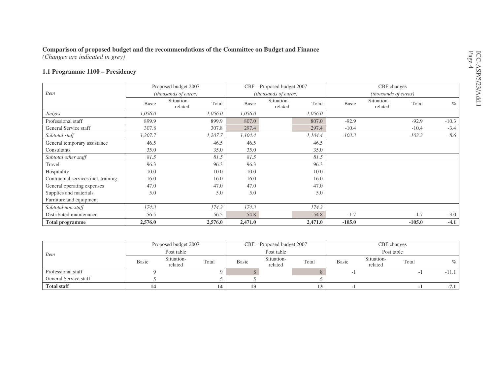*(Changes are indicated in grey)*

#### **1.1 Programme 1100 – Presidency**

|                                     |              | Proposed budget 2007  |         |         | CBF - Proposed budget 2007 |         |              | CBF changes           |          |         |
|-------------------------------------|--------------|-----------------------|---------|---------|----------------------------|---------|--------------|-----------------------|----------|---------|
| <i>Item</i>                         |              | (thousands of euros)  |         |         | (thousands of euros)       |         |              | (thousands of euros)  |          |         |
|                                     | <b>Basic</b> | Situation-<br>related | Total   | Basic   | Situation-<br>related      | Total   | <b>Basic</b> | Situation-<br>related | Total    | $\%$    |
| Judges                              | 1,056.0      |                       | 1,056.0 | 1,056.0 |                            | 1,056.0 |              |                       |          |         |
| Professional staff                  | 899.9        |                       | 899.9   | 807.0   |                            | 807.0   | $-92.9$      |                       | $-92.9$  | $-10.3$ |
| General Service staff               | 307.8        |                       | 307.8   | 297.4   |                            | 297.4   | $-10.4$      |                       | $-10.4$  | $-3.4$  |
| Subtotal staff                      | 1,207.7      |                       | 1,207.7 | 1,104.4 |                            | 1,104.4 | $-103.3$     |                       | $-103.3$ | $-8.6$  |
| General temporary assistance        | 46.5         |                       | 46.5    | 46.5    |                            | 46.5    |              |                       |          |         |
| Consultants                         | 35.0         |                       | 35.0    | 35.0    |                            | 35.0    |              |                       |          |         |
| Subtotal other staff                | 81.5         |                       | 81.5    | 81.5    |                            | 81.5    |              |                       |          |         |
| Travel                              | 96.3         |                       | 96.3    | 96.3    |                            | 96.3    |              |                       |          |         |
| Hospitality                         | 10.0         |                       | 10.0    | 10.0    |                            | 10.0    |              |                       |          |         |
| Contractual services incl. training | 16.0         |                       | 16.0    | 16.0    |                            | 16.0    |              |                       |          |         |
| General operating expenses          | 47.0         |                       | 47.0    | 47.0    |                            | 47.0    |              |                       |          |         |
| Supplies and materials              | 5.0          |                       | 5.0     | 5.0     |                            | 5.0     |              |                       |          |         |
| Furniture and equipment             |              |                       |         |         |                            |         |              |                       |          |         |
| Subtotal non-staff                  | 174.3        |                       | 174.3   | 174.3   |                            | 174.3   |              |                       |          |         |
| Distributed maintenance             | 56.5         |                       | 56.5    | 54.8    |                            | 54.8    | $-1.7$       |                       | $-1.7$   | $-3.0$  |
| <b>Total programme</b>              | 2,576.0      |                       | 2,576.0 | 2,471.0 |                            | 2,471.0 | $-105.0$     |                       | $-105.0$ | $-4.1$  |

|                       |       | Proposed budget 2007  |               |       | CBF – Proposed budget 2007 |       | CBF changes |                       |            |         |
|-----------------------|-------|-----------------------|---------------|-------|----------------------------|-------|-------------|-----------------------|------------|---------|
| <i>Item</i>           |       | Post table            |               |       | Post table                 |       |             |                       | Post table |         |
|                       | Basic | Situation-<br>related | Total         | Basic | Situation-<br>related      | Total | Basic       | Situation-<br>related | Total      |         |
| Professional staff    |       |                       |               |       |                            |       |             |                       |            | $-11.1$ |
| General Service staff |       |                       |               |       |                            |       |             |                       |            |         |
| <b>Total staff</b>    |       |                       | $\mathbf{14}$ |       |                            | ⊥৺    |             |                       |            | $-7.1$  |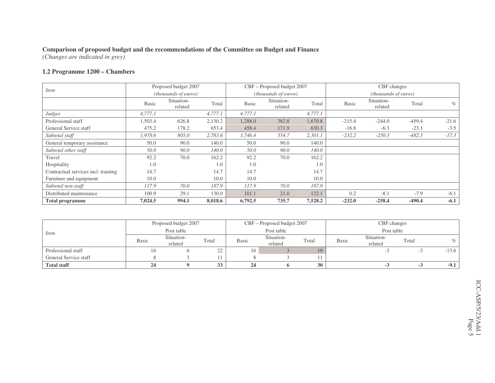*(Changes are indicated in grey)*

#### **1.2 Programme 1200 – Chambers**

| <i>Item</i>                         |              | Proposed budget 2007  |         |              | CBF - Proposed budget 2007 |         |              | CBF changes           |          |         |
|-------------------------------------|--------------|-----------------------|---------|--------------|----------------------------|---------|--------------|-----------------------|----------|---------|
|                                     |              | (thousands of euros)  |         |              | (thousands of euros)       |         |              | (thousands of euros)  |          |         |
|                                     | <b>Basic</b> | Situation-<br>related | Total   | <b>Basic</b> | Situation-<br>related      | Total   | <b>Basic</b> | Situation-<br>related | Total    | $\%$    |
| Judges                              | 4,777.1      |                       | 4,777.1 | 4,777.1      |                            | 4,777.1 |              |                       |          |         |
| Professional staff                  | 1,503.4      | 626.8                 | 2,130.2 | 1,288.0      | 382.8                      | 1,670.8 | $-215.4$     | $-244.0$              | $-459.4$ | $-21.6$ |
| General Service staff               | 475.2        | 178.2                 | 653.4   | 458.4        | 171.9                      | 630.3   | $-16.8$      | $-6.3$                | $-23.1$  | $-3.5$  |
| Subtotal staff                      | 1,978.6      | 805.0                 | 2,783.6 | 1,746.4      | 554.7                      | 2,301.1 | $-232.2$     | $-250.3$              | $-482.5$ | $-17.3$ |
| General temporary assistance        | 50.0         | 90.0                  | 140.0   | 50.0         | 90.0                       | 140.0   |              |                       |          |         |
| Subtotal other staff                | 50.0         | 90.0                  | 140.0   | 50.0         | 90.0                       | 140.0   |              |                       |          |         |
| Travel                              | 92.2         | 70.0                  | 162.2   | 92.2         | 70.0                       | 162.2   |              |                       |          |         |
| Hospitality                         | 1.0          |                       | 1.0     | 1.0          |                            | 1.0     |              |                       |          |         |
| Contractual services incl. training | 14.7         |                       | 14.7    | 14.7         |                            | 14.7    |              |                       |          |         |
| Furniture and equipment             | 10.0         |                       | 10.0    | 10.0         |                            | 10.0    |              |                       |          |         |
| Subtotal non-staff                  | 117.9        | 70.0                  | 187.9   | 117.9        | 70.0                       | 187.9   |              |                       |          |         |
| Distributed maintenance             | 100.9        | 29.1                  | 130.0   | 101.1        | 21.0                       | 122.1   | 0.2          | $-8.1$                | $-7.9$   | $-6.1$  |
| <b>Total programme</b>              | 7,024.5      | 994.1                 | 8,018.6 | 6,792.5      | 735.7                      | 7,528.2 | $-232.0$     | $-258.4$              | $-490.4$ | $-6.1$  |

|                       |              | Proposed budget 2007  |                                    |              | CBF – Proposed budget 2007 |       |              | CBF changes           |       |         |
|-----------------------|--------------|-----------------------|------------------------------------|--------------|----------------------------|-------|--------------|-----------------------|-------|---------|
| <i>Item</i>           |              | Post table            |                                    |              | Post table                 |       |              | Post table            |       |         |
|                       | <b>Basic</b> | Situation-<br>related | Total                              | <b>Basic</b> | Situation-<br>related      | Total | <b>Basic</b> | Situation-<br>related | Total | $\%$    |
| Professional staff    | Iб           |                       | $\cap$<br>$\overline{\phantom{a}}$ | 16           |                            | 19    |              |                       |       | $-13.6$ |
| General Service staff |              |                       |                                    |              |                            |       |              |                       |       |         |
| <b>Total staff</b>    |              |                       | 33                                 |              |                            | 30    |              |                       |       | $-9.1$  |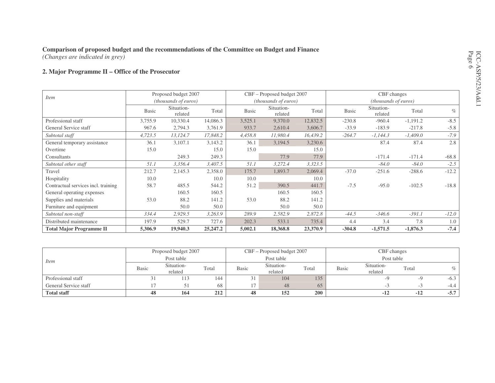### **Comparison of proposed budget and the recommendations of the Committee on Budget and Finance** *(Changes are indicated in grey)*

#### **2. Major Programme II – Office of the Prosecutor**

|                                     |              | Proposed budget 2007  |            |              | CBF – Proposed budget 2007 |          |              | CBF changes           |            |         |
|-------------------------------------|--------------|-----------------------|------------|--------------|----------------------------|----------|--------------|-----------------------|------------|---------|
| <i>Item</i>                         |              | (thousands of euros)  |            |              | (thousands of euros)       |          |              | (thousands of euros)  |            |         |
|                                     | <b>Basic</b> | Situation-<br>related | Total      | <b>Basic</b> | Situation-<br>related      | Total    | <b>Basic</b> | Situation-<br>related | Total      | $\%$    |
| Professional staff                  | 3,755.9      | 10,330.4              | 14,086.3   | 3,525.1      | 9,370.0                    | 12,832.5 | $-230.8$     | $-960.4$              | $-1,191.2$ | $-8.5$  |
| General Service staff               | 967.6        | 2,794.3               | 3,761.9    | 933.7        | 2,610.4                    | 3,606.7  | $-33.9$      | $-183.9$              | $-217.8$   | $-5.8$  |
| Subtotal staff                      | 4,723.5      | 13,124.7              | 17,848.2   | 4,458.8      | 11,980.4                   | 16,439.2 | $-264.7$     | $-1,144.3$            | $-1,409.0$ | $-7.9$  |
| General temporary assistance        | 36.1         | 3,107.1               | 3,143.2    | 36.1         | 3,194.5                    | 3,230.6  |              | 87.4                  | 87.4       | 2.8     |
| Overtime                            | 15.0         |                       | 15.0       | 15.0         |                            | 15.0     |              |                       |            |         |
| Consultants                         |              | 249.3                 | 249.3      |              | 77.9                       | 77.9     |              | $-171.4$              | $-171.4$   | $-68.8$ |
| Subtotal other staff                | 51.1         | 3,356.4               | 3,407.5    | 51.1         | 3,272.4                    | 3,323.5  |              | $-84.0$               | $-84.0$    | $-2.5$  |
| Travel                              | 212.7        | 2,145.3               | 2,358.0    | 175.7        | 1,893.7                    | 2,069.4  | $-37.0$      | $-251.6$              | $-288.6$   | $-12.2$ |
| Hospitality                         | 10.0         |                       | 10.0       | 10.0         |                            | 10.0     |              |                       |            |         |
| Contractual services incl. training | 58.7         | 485.5                 | 544.2      | 51.2         | 390.5                      | 441.7    | $-7.5$       | $-95.0$               | $-102.5$   | $-18.8$ |
| General operating expenses          |              | 160.5                 | 160.5      |              | 160.5                      | 160.5    |              |                       |            |         |
| Supplies and materials              | 53.0         | 88.2                  | 141.2      | 53.0         | 88.2                       | 141.2    |              |                       |            |         |
| Furniture and equipment             |              | 50.0                  | 50.0       |              | 50.0                       | 50.0     |              |                       |            |         |
| Subtotal non-staff                  | 334.4        | 2,929.5               | 3,263.9    | 289.9        | 2,582.9                    | 2,872.8  | $-44.5$      | $-346.6$              | $-391.1$   | $-12.0$ |
| Distributed maintenance             | 197.9        | 529.7                 | 727.6      | 202.3        | 533.1                      | 735.4    | 4.4          | 3.4                   | 7.8        | 1.0     |
| <b>Total Major Programme II</b>     | 5,306.9      | 19,940.3              | 25, 247. 2 | 5,002.1      | 18,368.8                   | 23,370.9 | $-304.8$     | $-1,571.5$            | $-1,876.3$ | $-7.4$  |

|                       |              | Proposed budget 2007  |       |              | CBF – Proposed budget 2007 |            |              | CBF changes           |       |        |
|-----------------------|--------------|-----------------------|-------|--------------|----------------------------|------------|--------------|-----------------------|-------|--------|
| <i>Item</i>           |              | Post table            |       |              | Post table                 |            |              | Post table            |       |        |
|                       | <b>Basic</b> | Situation-<br>related | Total | <b>Basic</b> | Situation-<br>related      | Total      | <b>Basic</b> | Situation-<br>related | Total | $\%$   |
| Professional staff    |              |                       | 144   | 31           | 104                        | 135        |              |                       | -Y    | $-6.3$ |
| General Service staff |              |                       | 68    |              | 48                         | 65         |              | $-1$                  | - 3   | $-4.4$ |
| <b>Total staff</b>    | 48           | 164                   | 212   | 48           | 152                        | <b>200</b> |              | $-12$                 | $-12$ | $-5.7$ |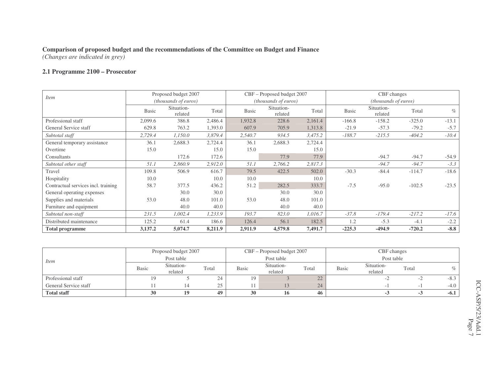*(Changes are indicated in grey)*

#### **2.1 Programme 2100 – Prosecutor**

| <i>Item</i>                         |              | Proposed budget 2007  |         |              | CBF - Proposed budget 2007  |         |              | CBF changes           |          |         |
|-------------------------------------|--------------|-----------------------|---------|--------------|-----------------------------|---------|--------------|-----------------------|----------|---------|
|                                     |              | (thousands of euros)  |         |              | <i>(thousands of euros)</i> |         |              | (thousands of euros)  |          |         |
|                                     | <b>Basic</b> | Situation-<br>related | Total   | <b>Basic</b> | Situation-<br>related       | Total   | <b>Basic</b> | Situation-<br>related | Total    | $\%$    |
| Professional staff                  | 2,099.6      | 386.8                 | 2,486.4 | 1,932.8      | 228.6                       | 2,161.4 | $-166.8$     | $-158.2$              | $-325.0$ | $-13.1$ |
| General Service staff               | 629.8        | 763.2                 | 1,393.0 | 607.9        | 705.9                       | 1,313.8 | $-21.9$      | $-57.3$               | $-79.2$  | $-5.7$  |
| Subtotal staff                      | 2,729.4      | 1,150.0               | 3,879.4 | 2,540.7      | 934.5                       | 3,475.2 | $-188.7$     | $-215.5$              | $-404.2$ | $-10.4$ |
| General temporary assistance        | 36.1         | 2,688.3               | 2,724.4 | 36.1         | 2,688.3                     | 2,724.4 |              |                       |          |         |
| Overtime                            | 15.0         |                       | 15.0    | 15.0         |                             | 15.0    |              |                       |          |         |
| Consultants                         |              | 172.6                 | 172.6   |              | 77.9                        | 77.9    |              | $-94.7$               | $-94.7$  | $-54.9$ |
| Subtotal other staff                | 51.1         | 2,860.9               | 2,912.0 | 51.1         | 2,766.2                     | 2,817.3 |              | $-94.7$               | $-94.7$  | $-3.3$  |
| Travel                              | 109.8        | 506.9                 | 616.7   | 79.5         | 422.5                       | 502.0   | $-30.3$      | $-84.4$               | $-114.7$ | $-18.6$ |
| Hospitality                         | 10.0         |                       | 10.0    | 10.0         |                             | 10.0    |              |                       |          |         |
| Contractual services incl. training | 58.7         | 377.5                 | 436.2   | 51.2         | 282.5                       | 333.7   | $-7.5$       | $-95.0$               | $-102.5$ | $-23.5$ |
| General operating expenses          |              | 30.0                  | 30.0    |              | 30.0                        | 30.0    |              |                       |          |         |
| Supplies and materials              | 53.0         | 48.0                  | 101.0   | 53.0         | 48.0                        | 101.0   |              |                       |          |         |
| Furniture and equipment             |              | 40.0                  | 40.0    |              | 40.0                        | 40.0    |              |                       |          |         |
| Subtotal non-staff                  | 231.5        | 1,002.4               | 1,233.9 | 193.7        | 823.0                       | 1,016.7 | $-37.8$      | $-179.4$              | $-217.2$ | $-17.6$ |
| Distributed maintenance             | 125.2        | 61.4                  | 186.6   | 126.4        | 56.1                        | 182.5   | 1.2          | $-5.3$                | $-4.1$   | $-2.2$  |
| <b>Total programme</b>              | 3,137.2      | 5,074.7               | 8,211.9 | 2,911.9      | 4,579.8                     | 7,491.7 | $-225.3$     | $-494.9$              | $-720.2$ | $-8.8$  |

|                       |              | Proposed budget 2007  |             |              | CBF – Proposed budget 2007 |       |       | CBF changes           |       |        |
|-----------------------|--------------|-----------------------|-------------|--------------|----------------------------|-------|-------|-----------------------|-------|--------|
| <i>Item</i>           |              | Post table            |             |              | Post table                 |       |       | Post table            |       |        |
|                       | <b>Basic</b> | Situation-<br>related | Total       | <b>Basic</b> | Situation-<br>related      | Total | Basic | Situation-<br>related | Total |        |
| Professional staff    |              |                       | 24          | 19           |                            | 22    |       |                       |       | $-8.3$ |
| General Service staff |              |                       | $\cap$<br>ت |              |                            | 24    |       |                       |       | $-4.0$ |
| <b>Total staff</b>    | 30           |                       | 49          | 30           | 10.                        | 46    |       |                       |       | $-6.1$ |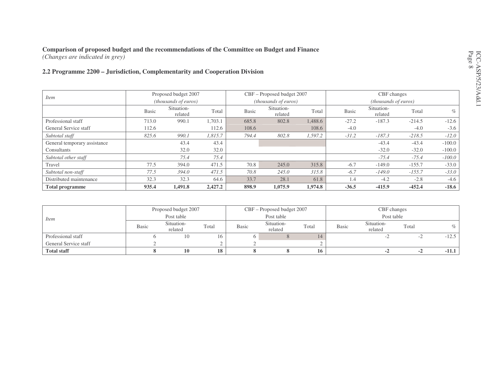#### **Comparison of proposed budget and the recommendations of the Committee on Budget and Finance** *(Changes are indicated in grey)*

**2.2 Programme 2200 – Jurisdiction, Complementarity and Cooperation Division**

|                              |              | Proposed budget 2007          |         |              | CBF - Proposed budget 2007 |         |              | CBF changes           |          |          |
|------------------------------|--------------|-------------------------------|---------|--------------|----------------------------|---------|--------------|-----------------------|----------|----------|
| <i>Item</i>                  |              | ( <i>thousands of euros</i> ) |         |              | (thousands of euros)       |         |              | (thousands of euros)  |          |          |
|                              | <b>Basic</b> | Situation-<br>related         | Total   | <b>Basic</b> | Situation-<br>related      | Total   | <b>Basic</b> | Situation-<br>related | Total    | $\%$     |
| Professional staff           | 713.0        | 990.1                         | 1,703.1 | 685.8        | 802.8                      | 1,488.6 | $-27.2$      | $-187.3$              | $-214.5$ | $-12.6$  |
| General Service staff        | 112.6        |                               | 112.6   | 108.6        |                            | 108.6   | $-4.0$       |                       | $-4.0$   | $-3.6$   |
| Subtotal staff               | 825.6        | 990.1                         | 1,815.7 | 794.4        | 802.8                      | 1,597.2 | $-31.2$      | $-187.3$              | $-218.5$ | $-12.0$  |
| General temporary assistance |              | 43.4                          | 43.4    |              |                            |         |              | $-43.4$               | $-43.4$  | $-100.0$ |
| Consultants                  |              | 32.0                          | 32.0    |              |                            |         |              | $-32.0$               | $-32.0$  | $-100.0$ |
| Subtotal other staff         |              | 75.4                          | 75.4    |              |                            |         |              | $-75.4$               | $-75.4$  | $-100.0$ |
| Travel                       | 77.5         | 394.0                         | 471.5   | 70.8         | 245.0                      | 315.8   | $-6.7$       | $-149.0$              | $-155.7$ | $-33.0$  |
| Subtotal non-staff           | 77.5         | 394.0                         | 471.5   | 70.8         | 245.0                      | 315.8   | $-6.7$       | $-149.0$              | $-155.7$ | $-33.0$  |
| Distributed maintenance      | 32.3         | 32.3                          | 64.6    | 33.7         | 28.1                       | 61.8    | 1.4          | $-4.2$                | $-2.8$   | $-4.6$   |
| <b>Total programme</b>       | 935.4        | 1,491.8                       | 2,427.2 | 898.9        | 1,075.9                    | 1.974.8 | $-36.5$      | $-415.9$              | $-452.4$ | $-18.6$  |

|                       |              | Proposed budget 2007  |       |       | CBF – Proposed budget 2007 |       |              | CBF changes           |       |         |
|-----------------------|--------------|-----------------------|-------|-------|----------------------------|-------|--------------|-----------------------|-------|---------|
| <i>Item</i>           |              | Post table            |       |       | Post table                 |       |              | Post table            |       |         |
|                       | <b>Basic</b> | Situation-<br>related | Total | Basic | Situation-<br>related      | Total | <b>Basic</b> | Situation-<br>related | Total |         |
| Professional staff    |              | 10                    | .6    |       |                            |       |              |                       |       | $-12.5$ |
| General Service staff |              |                       |       |       |                            |       |              |                       |       |         |
| <b>Total staff</b>    |              | 10                    | 18    |       |                            | 16    |              |                       |       | $-11.1$ |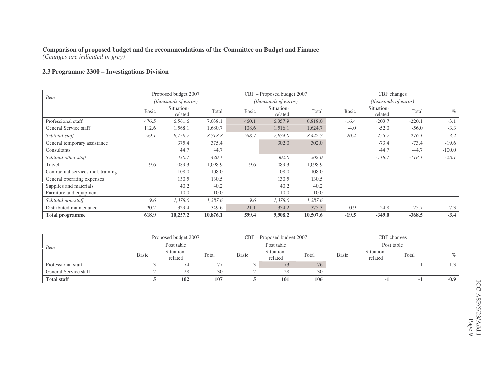*(Changes are indicated in grey)*

#### **2.3 Programme 2300 – Investigations Division**

|                                     |              | Proposed budget 2007  |          |              | CBF - Proposed budget 2007 |          |              | CBF changes           |          |          |
|-------------------------------------|--------------|-----------------------|----------|--------------|----------------------------|----------|--------------|-----------------------|----------|----------|
| <i>Item</i>                         |              | (thousands of euros)  |          |              | (thousands of euros)       |          |              | (thousands of euros)  |          |          |
|                                     | <b>Basic</b> | Situation-<br>related | Total    | <b>Basic</b> | Situation-<br>related      | Total    | <b>Basic</b> | Situation-<br>related | Total    | $\%$     |
| Professional staff                  | 476.5        | 6,561.6               | 7,038.1  | 460.1        | 6,357.9                    | 6,818.0  | $-16.4$      | $-203.7$              | $-220.1$ | $-3.1$   |
| General Service staff               | 112.6        | 1,568.1               | 1,680.7  | 108.6        | 1,516.1                    | 1,624.7  | $-4.0$       | $-52.0$               | $-56.0$  | $-3.3$   |
| Subtotal staff                      | 589.1        | 8,129.7               | 8,718.8  | 568.7        | 7,874.0                    | 8,442.7  | $-20.4$      | $-255.7$              | $-276.1$ | $-3.2$   |
| General temporary assistance        |              | 375.4                 | 375.4    |              | 302.0                      | 302.0    |              | $-73.4$               | $-73.4$  | $-19.6$  |
| Consultants                         |              | 44.7                  | 44.7     |              |                            |          |              | $-44.7$               | $-44.7$  | $-100.0$ |
| Subtotal other staff                |              | 420.1                 | 420.1    |              | 302.0                      | 302.0    |              | $-118.1$              | $-118.1$ | $-28.1$  |
| Travel                              | 9.6          | 1,089.3               | 1,098.9  | 9.6          | 1,089.3                    | 1,098.9  |              |                       |          |          |
| Contractual services incl. training |              | 108.0                 | 108.0    |              | 108.0                      | 108.0    |              |                       |          |          |
| General operating expenses          |              | 130.5                 | 130.5    |              | 130.5                      | 130.5    |              |                       |          |          |
| Supplies and materials              |              | 40.2                  | 40.2     |              | 40.2                       | 40.2     |              |                       |          |          |
| Furniture and equipment             |              | 10.0                  | 10.0     |              | 10.0                       | 10.0     |              |                       |          |          |
| Subtotal non-staff                  | 9.6          | 1,378.0               | 1,387.6  | 9.6          | 1,378.0                    | 1,387.6  |              |                       |          |          |
| Distributed maintenance             | 20.2         | 329.4                 | 349.6    | 21.1         | 354.2                      | 375.3    | 0.9          | 24.8                  | 25.7     | 7.3      |
| <b>Total programme</b>              | 618.9        | 10,257.2              | 10,876.1 | 599.4        | 9,908.2                    | 10,507.6 | $-19.5$      | $-349.0$              | $-368.5$ | $-3.4$   |

|                       |       | Proposed budget 2007  |       |              | CBF – Proposed budget 2007 |       |              | CBF changes           |       |        |
|-----------------------|-------|-----------------------|-------|--------------|----------------------------|-------|--------------|-----------------------|-------|--------|
| <i>Item</i>           |       | Post table            |       |              | Post table                 |       |              | Post table            |       |        |
|                       | Basic | Situation-<br>related | Total | <b>Basic</b> | Situation-<br>related      | Total | <b>Basic</b> | Situation-<br>related | Total |        |
| Professional staff    |       |                       |       |              |                            | 76    |              |                       |       | - 1    |
| General Service staff |       | 28                    | 30    |              | 28                         | 30    |              |                       |       |        |
| <b>Total staff</b>    |       | 102                   | 107   |              | 101                        | 106   |              |                       |       | $-0.9$ |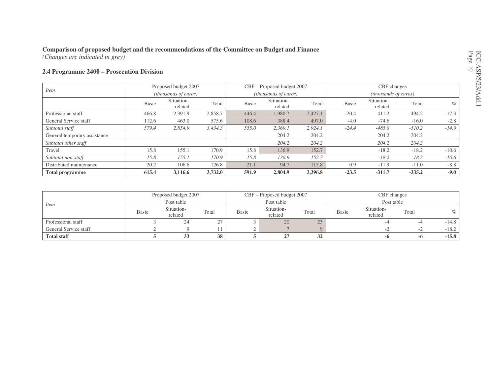*(Changes are indicated in grey)*

#### **2.4 Programme 2400 – Prosecution Division**

|                              |              | Proposed budget 2007  |         |              | CBF – Proposed budget 2007 |         |              | CBF changes                 |          |         |
|------------------------------|--------------|-----------------------|---------|--------------|----------------------------|---------|--------------|-----------------------------|----------|---------|
| <i>Item</i>                  |              | (thousands of euros)  |         |              | (thousands of euros)       |         |              | <i>(thousands of euros)</i> |          |         |
|                              | <b>Basic</b> | Situation-<br>related | Total   | <b>Basic</b> | Situation-<br>related      | Total   | <b>Basic</b> | Situation-<br>related       | Total    | $\%$    |
| Professional staff           | 466.8        | 2,391.9               | 2,858.7 | 446.4        | 1.980.7                    | 2.427.1 | $-20.4$      | $-411.2$                    | $-494.2$ | $-17.3$ |
| General Service staff        | 112.6        | 463.0                 | 575.6   | 108.6        | 388.4                      | 497.0   | $-4.0$       | $-74.6$                     | $-16.0$  | $-2.8$  |
| Subtotal staff               | 579.4        | 2,854.9               | 3,434.3 | 555.0        | 2,369.1                    | 2,924.1 | $-24.4$      | $-485.8$                    | $-510.2$ | $-14.9$ |
| General temporary assistance |              |                       |         |              | 204.2                      | 204.2   |              | 204.2                       | 204.2    |         |
| Subtotal other staff         |              |                       |         |              | 204.2                      | 204.2   |              | 204.2                       | 204.2    |         |
| Travel                       | 15.8         | 155.1                 | 170.9   | 15.8         | 136.9                      | 152.7   |              | $-18.2$                     | $-18.2$  | $-10.6$ |
| Subtotal non-staff           | 15.8         | 155.1                 | 170.9   | 15.8         | 136.9                      | 152.7   |              | $-18.2$                     | $-18.2$  | $-10.6$ |
| Distributed maintenance      | 20.2         | 106.6                 | 126.8   | 21.1         | 94.7                       | 115.8   | 0.9          | $-11.9$                     | $-11.0$  | $-8.8$  |
| <b>Total programme</b>       | 615.4        | 3,116.6               | 3,732.0 | 591.9        | 2,804.9                    | 3,396.8 | $-23.5$      | $-311.7$                    | $-335.2$ | $-9.0$  |

|                       |       | Proposed budget 2007  |          |       | CBF - Proposed budget 2007 |       |       | CBF changes           |       |         |
|-----------------------|-------|-----------------------|----------|-------|----------------------------|-------|-------|-----------------------|-------|---------|
| Item                  |       | Post table            |          |       | Post table                 |       |       | Post table            |       |         |
|                       | Basic | Situation-<br>related | Total    | Basic | Situation-<br>related      | Total | Basic | Situation-<br>related | Total |         |
| Professional staff    |       | -24                   | <u>.</u> |       | 20                         | 23    |       |                       |       | $-14.8$ |
| General Service staff |       |                       |          |       |                            |       |       |                       | $-L$  | $-18.2$ |
| <b>Total staff</b>    |       |                       | 38       |       |                            | 32    |       | -0                    | -0    | $-15.8$ |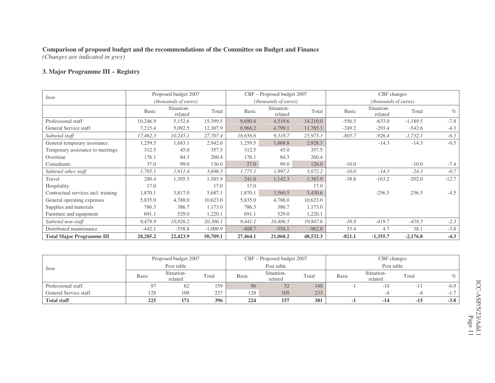*(Changes are indicated in grey)*

#### **3. Major Programme III – Registry**

|                                     |              | Proposed budget 2007          |            |              | CBF - Proposed budget 2007  |          |              | CBF changes           |            |         |
|-------------------------------------|--------------|-------------------------------|------------|--------------|-----------------------------|----------|--------------|-----------------------|------------|---------|
| <i>Item</i>                         |              | ( <i>thousands of euros</i> ) |            |              | <i>(thousands of euros)</i> |          |              | (thousands of euros)  |            |         |
|                                     | <b>Basic</b> | Situation-<br>related         | Total      | <b>Basic</b> | Situation-<br>related       | Total    | <b>Basic</b> | Situation-<br>related | Total      | $\%$    |
| Professional staff                  | 10,246.9     | 5,152.6                       | 15,399.5   | 9,690.4      | 4,519.6                     | 14,210.0 | $-556.5$     | $-633.0$              | $-1,189.5$ | $-7.8$  |
| General Service staff               | 7,215.4      | 5,092.5                       | 12,307.9   | 6,966.2      | 4,799.1                     | 11,765.3 | $-249.2$     | $-293.4$              | $-542.6$   | $-4.3$  |
| Subtotal staff                      | 17,462.3     | 10,245.1                      | 27,707.4   | 16,656.6     | 9,318.7                     | 25,975.3 | $-805.7$     | $-926.4$              | $-1,732.1$ | $-6.3$  |
| General temporary assistance        | 1,259.5      | 1,683.1                       | 2,942.6    | 1,259.5      | 1,668.8                     | 2,928.3  |              | $-14.3$               | $-14.3$    | $-0.5$  |
| Temporary assistance to meetings    | 312.5        | 45.0                          | 357.5      | 312.5        | 45.0                        | 357.5    |              |                       |            |         |
| Overtime                            | 176.1        | 84.3                          | 260.4      | 176.1        | 84.3                        | 260.4    |              |                       |            |         |
| Consultants                         | 37.0         | 99.0                          | 136.0      | 27.0         | 99.0                        | 126.0    | $-10.0$      |                       | $-10.0$    | $-7.4$  |
| Subtotal other staff                | 1,785.1      | 1,911.4                       | 3,696.5    | 1,775.1      | 1,897.1                     | 3,672.2  | $-10.0$      | $-14.3$               | $-24.3$    | $-0.7$  |
| Travel                              | 280.4        | 1,305.5                       | 1,585.9    | 241.6        | 1,142.3                     | 1,383.9  | $-38.8$      | $-163.2$              | $-202.0$   | $-12.7$ |
| Hospitality                         | 17.0         |                               | 17.0       | 17.0         |                             | 17.0     |              |                       |            |         |
| Contractual services incl. training | 1,870.1      | 3,817.0                       | 5,687.1    | 1,870.1      | 3,560.5                     | 5,430.6  |              | $-256.5$              | $-256.5$   | $-4.5$  |
| General operating expenses          | 5,835.0      | 4,788.0                       | 10,623.0   | 5,835.0      | 4,788.0                     | 10,623.0 |              |                       |            |         |
| Supplies and materials              | 786.3        | 386.7                         | 1,173.0    | 786.3        | 386.7                       | 1,173.0  |              |                       |            |         |
| Furniture and equipment             | 691.1        | 529.0                         | 1,220.1    | 691.1        | 529.0                       | 1,220.1  |              |                       |            |         |
| Subtotal non-staff                  | 9,479.9      | 10,826.2                      | 20,306.1   | 9,441.1      | 10,406.5                    | 19,847.6 | $-38.8$      | $-419.7$              | $-458.5$   | $-2.3$  |
| Distributed maintenance             | $-442.1$     | $-558.8$                      | $-1,000.9$ | $-408.7$     | $-554.1$                    | $-962.8$ | 33.4         | 4.7                   | 38.1       | $-3.8$  |
| <b>Total Major Programme III</b>    | 28,285.2     | 22,423.9                      | 50,709.1   | 27,464.1     | 21,068.2                    | 48,532.3 | $-821.1$     | $-1,355.7$            | $-2,176.8$ | $-4.3$  |

|                       |              | Proposed budget 2007  |       |              | CBF - Proposed budget 2007 |       |              | CBF changes           |        |        |
|-----------------------|--------------|-----------------------|-------|--------------|----------------------------|-------|--------------|-----------------------|--------|--------|
| <i>Item</i>           |              | Post table            |       |              | Post table                 |       |              | Post table            |        |        |
|                       | <b>Basic</b> | Situation-<br>related | Total | <b>Basic</b> | Situation-<br>related      | Total | <b>Basic</b> | Situation-<br>related | Total  | %      |
| Professional staff    | 07           | 62                    | 159   | 96           | 52                         | 148   |              | $-10$                 | $-111$ | $-6.9$ |
| General Service staff | 128          | 109                   | 237   | 128          | 105                        | 233   |              | -4                    |        |        |
| <b>Total staff</b>    | 225          | 171                   | 396   | 224          | 157                        | 381   |              | $-14$                 | $-15$  | $-3.8$ |

CC-ASP/5/23/Add.1 Page 11 ICC-ASP/5/23/Add.1 Page 11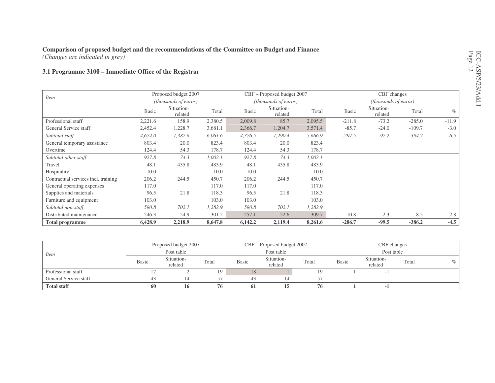*(Changes are indicated in grey)*

#### **3.1 Programme 3100 – Immediate Office of the Registrar**

|                                     |              | Proposed budget 2007  |         |              | CBF - Proposed budget 2007 |         |              | CBF changes           |          |         |
|-------------------------------------|--------------|-----------------------|---------|--------------|----------------------------|---------|--------------|-----------------------|----------|---------|
| <i>Item</i>                         |              | (thousands of euros)  |         |              | (thousands of euros)       |         |              | (thousands of euros)  |          |         |
|                                     | <b>Basic</b> | Situation-<br>related | Total   | <b>Basic</b> | Situation-<br>related      | Total   | <b>Basic</b> | Situation-<br>related | Total    | $\%$    |
| Professional staff                  | 2,221.6      | 158.9                 | 2,380.5 | 2,009.8      | 85.7                       | 2,095.5 | $-211.8$     | $-73.2$               | $-285.0$ | $-11.9$ |
| General Service staff               | 2,452.4      | 1,228.7               | 3,681.1 | 2,366.7      | 1,204.7                    | 3,571.4 | $-85.7$      | $-24.0$               | $-109.7$ | $-3.0$  |
| Subtotal staff                      | 4,674.0      | 1,387.6               | 6,061.6 | 4,376.5      | 1,290.4                    | 5,666.9 | $-297.5$     | $-97.2$               | $-394.7$ | $-6.5$  |
| General temporary assistance        | 803.4        | 20.0                  | 823.4   | 803.4        | 20.0                       | 823.4   |              |                       |          |         |
| Overtime                            | 124.4        | 54.3                  | 178.7   | 124.4        | 54.3                       | 178.7   |              |                       |          |         |
| Subtotal other staff                | 927.8        | 74.3                  | 1,002.1 | 927.8        | 74.3                       | 1,002.1 |              |                       |          |         |
| Travel                              | 48.1         | 435.8                 | 483.9   | 48.1         | 435.8                      | 483.9   |              |                       |          |         |
| Hospitality                         | 10.0         |                       | 10.0    | 10.0         |                            | 10.0    |              |                       |          |         |
| Contractual services incl. training | 206.2        | 244.5                 | 450.7   | 206.2        | 244.5                      | 450.7   |              |                       |          |         |
| General operating expenses          | 117.0        |                       | 117.0   | 117.0        |                            | 117.0   |              |                       |          |         |
| Supplies and materials              | 96.5         | 21.8                  | 118.3   | 96.5         | 21.8                       | 118.3   |              |                       |          |         |
| Furniture and equipment             | 103.0        |                       | 103.0   | 103.0        |                            | 103.0   |              |                       |          |         |
| Subtotal non-staff                  | 580.8        | 702.1                 | 1,282.9 | 580.8        | 702.1                      | 1,282.9 |              |                       |          |         |
| Distributed maintenance             | 246.3        | 54.9                  | 301.2   | 257.1        | 52.6                       | 309.7   | 10.8         | $-2.3$                | 8.5      | 2.8     |
| <b>Total programme</b>              | 6,428.9      | 2,218.9               | 8,647.8 | 6,142.2      | 2,119.4                    | 8,261.6 | $-286.7$     | $-99.5$               | $-386.2$ | $-4.5$  |

|                       |              | Proposed budget 2007  |       |              | CBF – Proposed budget 2007 |       |              | CBF changes           |       |      |
|-----------------------|--------------|-----------------------|-------|--------------|----------------------------|-------|--------------|-----------------------|-------|------|
| <i>Item</i>           |              | Post table            |       |              | Post table                 |       |              | Post table            |       |      |
|                       | <b>Basic</b> | Situation-<br>related | Total | <b>Basic</b> | Situation-<br>related      | Total | <b>Basic</b> | Situation-<br>related | Total | $\%$ |
| Professional staff    |              |                       | 19    | 18           |                            | 19    |              |                       |       |      |
| General Service staff | 43           |                       | 57    | 43           |                            |       |              |                       |       |      |
| <b>Total staff</b>    | 60           | 16                    | 76    | 61           |                            | 76    |              |                       |       |      |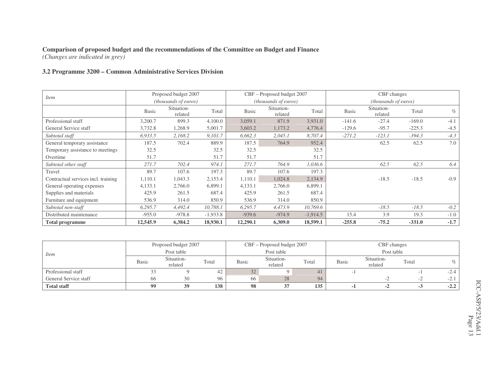*(Changes are indicated in grey)*

#### **3.2 Programme 3200 – Common Administrative Services Division**

|                                     |              | Proposed budget 2007        |            |              | CBF - Proposed budget 2007  |            |              | CBF changes           |          |        |
|-------------------------------------|--------------|-----------------------------|------------|--------------|-----------------------------|------------|--------------|-----------------------|----------|--------|
| <i>Item</i>                         |              | <i>(thousands of euros)</i> |            |              | <i>(thousands of euros)</i> |            |              | (thousands of euros)  |          |        |
|                                     | <b>Basic</b> | Situation-<br>related       | Total      | <b>Basic</b> | Situation-<br>related       | Total      | <b>Basic</b> | Situation-<br>related | Total    | $\%$   |
| Professional staff                  | 3,200.7      | 899.3                       | 4,100.0    | 3,059.1      | 871.9                       | 3,931.0    | $-141.6$     | $-27.4$               | $-169.0$ | $-4.1$ |
| General Service staff               | 3,732.8      | 1,268.9                     | 5,001.7    | 3,603.2      | 1,173.2                     | 4,776.4    | $-129.6$     | $-95.7$               | $-225.3$ | $-4.5$ |
| Subtotal staff                      | 6,933.5      | 2,168.2                     | 9,101.7    | 6,662.3      | 2,045.1                     | 8,707.4    | $-271.2$     | $-123.1$              | $-394.3$ | $-4.3$ |
| General temporary assistance        | 187.5        | 702.4                       | 889.9      | 187.5        | 764.9                       | 952.4      |              | 62.5                  | 62.5     | 7.0    |
| Temporary assistance to meetings    | 32.5         |                             | 32.5       | 32.5         |                             | 32.5       |              |                       |          |        |
| Overtime                            | 51.7         |                             | 51.7       | 51.7         |                             | 51.7       |              |                       |          |        |
| Subtotal other staff                | 271.7        | 702.4                       | 974.1      | 271.7        | 764.9                       | 1,036.6    |              | 62.5                  | 62.5     | 6.4    |
| Travel                              | 89.7         | 107.6                       | 197.3      | 89.7         | 107.6                       | 197.3      |              |                       |          |        |
| Contractual services incl. training | 1,110.1      | 1,043.3                     | 2,153.4    | 1,110.1      | 1,024.8                     | 2,134.9    |              | $-18.5$               | $-18.5$  | $-0.9$ |
| General operating expenses          | 4,133.1      | 2,766.0                     | 6,899.1    | 4,133.1      | 2,766.0                     | 6,899.1    |              |                       |          |        |
| Supplies and materials              | 425.9        | 261.5                       | 687.4      | 425.9        | 261.5                       | 687.4      |              |                       |          |        |
| Furniture and equipment             | 536.9        | 314.0                       | 850.9      | 536.9        | 314.0                       | 850.9      |              |                       |          |        |
| Subtotal non-staff                  | 6,295.7      | 4,492.4                     | 10,788.1   | 6,295.7      | 4,473.9                     | 10,769.6   |              | $-18.5$               | $-18.5$  | $-0.2$ |
| Distributed maintenance             | $-955.0$     | $-978.8$                    | $-1,933.8$ | $-939.6$     | $-974.9$                    | $-1,914.5$ | 15.4         | 3.9                   | 19.3     | $-1.0$ |
| <b>Total programme</b>              | 12,545.9     | 6,384.2                     | 18,930.1   | 12,290.1     | 6,309.0                     | 18,599.1   | $-255.8$     | $-75.2$               | $-331.0$ | $-1.7$ |

|                       |              | Proposed budget 2007  |       |       | CBF - Proposed budget 2007 |       |              | CBF changes           |       |        |
|-----------------------|--------------|-----------------------|-------|-------|----------------------------|-------|--------------|-----------------------|-------|--------|
| <i>Item</i>           |              | Post table            |       |       | Post table                 |       |              | Post table            |       |        |
|                       | <b>Basic</b> | Situation-<br>related | Total | Basic | Situation-<br>related      | Total | <b>Basic</b> | Situation-<br>related | Total |        |
| Professional staff    | 33           |                       | 42    | 32    |                            | 41    |              |                       |       | $-2.4$ |
| General Service staff | 66           | 30                    | 96    | 66    | 28                         | 94    |              |                       | . .   |        |
| <b>Total staff</b>    | 99           | 39                    | 138   | 98    |                            | 135   |              | $\blacksquare$        |       | $-2.2$ |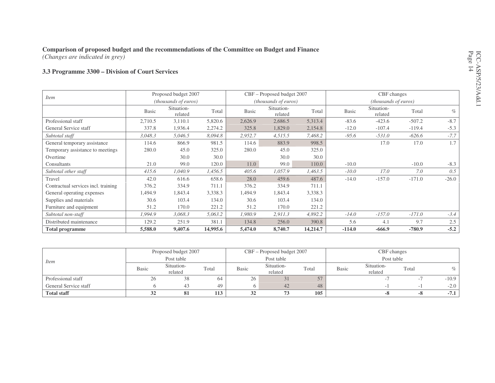*(Changes are indicated in grey)*

#### **3.3 Programme 3300 – Division of Court Services**

|                                     |              | Proposed budget 2007  |          |              | CBF – Proposed budget 2007 |          |          | CBF changes           |          |         |
|-------------------------------------|--------------|-----------------------|----------|--------------|----------------------------|----------|----------|-----------------------|----------|---------|
| <i>Item</i>                         |              | (thousands of euros)  |          |              | (thousands of euros)       |          |          | (thousands of euros)  |          |         |
|                                     | <b>Basic</b> | Situation-<br>related | Total    | <b>Basic</b> | Situation-<br>related      | Total    | Basic    | Situation-<br>related | Total    | $\%$    |
| Professional staff                  | 2,710.5      | 3,110.1               | 5,820.6  | 2,626.9      | 2,686.5                    | 5,313.4  | $-83.6$  | $-423.6$              | $-507.2$ | $-8.7$  |
| General Service staff               | 337.8        | 1,936.4               | 2,274.2  | 325.8        | 1,829.0                    | 2,154.8  | $-12.0$  | $-107.4$              | $-119.4$ | $-5.3$  |
| Subtotal staff                      | 3,048.3      | 5,046.5               | 8,094.8  | 2,952.7      | 4,515.5                    | 7,468.2  | $-95.6$  | $-531.0$              | $-626.6$ | $-7.7$  |
| General temporary assistance        | 114.6        | 866.9                 | 981.5    | 114.6        | 883.9                      | 998.5    |          | 17.0                  | 17.0     | 1.7     |
| Temporary assistance to meetings    | 280.0        | 45.0                  | 325.0    | 280.0        | 45.0                       | 325.0    |          |                       |          |         |
| Overtime                            |              | 30.0                  | 30.0     |              | 30.0                       | 30.0     |          |                       |          |         |
| Consultants                         | 21.0         | 99.0                  | 120.0    | 11.0         | 99.0                       | 110.0    | $-10.0$  |                       | $-10.0$  | $-8.3$  |
| Subtotal other staff                | 415.6        | 1,040.9               | 1,456.5  | 405.6        | 1,057.9                    | 1,463.5  | $-10.0$  | 17.0                  | 7.0      | 0.5     |
| Travel                              | 42.0         | 616.6                 | 658.6    | 28.0         | 459.6                      | 487.6    | $-14.0$  | $-157.0$              | $-171.0$ | $-26.0$ |
| Contractual services incl. training | 376.2        | 334.9                 | 711.1    | 376.2        | 334.9                      | 711.1    |          |                       |          |         |
| General operating expenses          | 1,494.9      | 1,843.4               | 3,338.3  | 1,494.9      | 1,843.4                    | 3,338.3  |          |                       |          |         |
| Supplies and materials              | 30.6         | 103.4                 | 134.0    | 30.6         | 103.4                      | 134.0    |          |                       |          |         |
| Furniture and equipment             | 51.2         | 170.0                 | 221.2    | 51.2         | 170.0                      | 221.2    |          |                       |          |         |
| Subtotal non-staff                  | 1,994.9      | 3,068.3               | 5,063.2  | 1,980.9      | 2,911.3                    | 4,892.2  | $-14.0$  | $-157.0$              | $-171.0$ | $-3.4$  |
| Distributed maintenance             | 129.2        | 251.9                 | 381.1    | 134.8        | 256.0                      | 390.8    | 5.6      | 4.1                   | 9.7      | 2.5     |
| <b>Total programme</b>              | 5,588.0      | 9,407.6               | 14,995.6 | 5,474.0      | 8,740.7                    | 14,214.7 | $-114.0$ | $-666.9$              | $-780.9$ | $-5.2$  |

|                       |              | Proposed budget 2007  |       |              | CBF – Proposed budget 2007 |            | CBF changes  |                       |       |         |
|-----------------------|--------------|-----------------------|-------|--------------|----------------------------|------------|--------------|-----------------------|-------|---------|
| <i>Item</i>           |              | Post table            |       |              | Post table                 |            |              | Post table            |       |         |
|                       | <b>Basic</b> | Situation-<br>related | Total | <b>Basic</b> | Situation-<br>related      | Total      | <b>Basic</b> | Situation-<br>related | Total | $\%$    |
| Professional staff    | 26           | 38                    | -64   | 26           | $\mathfrak{I}$             | $\sqrt{2}$ |              |                       |       | $-10.9$ |
| General Service staff |              | 43                    | 49    | <sub>0</sub> | 42                         | 48         |              |                       |       | $-2.0$  |
| <b>Total staff</b>    | 32           | 81                    | 113   |              |                            | 105        |              | -8                    | -8    | $-7.1$  |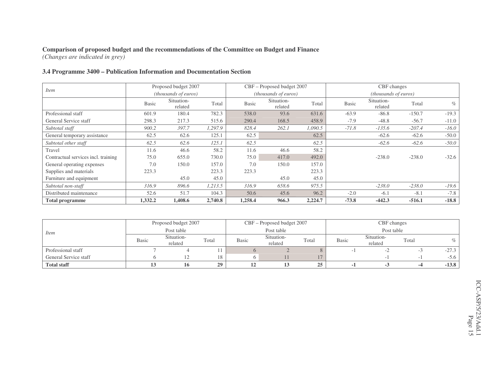*(Changes are indicated in grey)*

#### **3.4 Programme 3400 – Publication Information and Documentation Section**

|                                     |              | Proposed budget 2007  |         |              | CBF – Proposed budget 2007 |         |              | CBF changes                 |          |         |
|-------------------------------------|--------------|-----------------------|---------|--------------|----------------------------|---------|--------------|-----------------------------|----------|---------|
| <i>Item</i>                         |              | (thousands of euros)  |         |              | (thousands of euros)       |         |              | <i>(thousands of euros)</i> |          |         |
|                                     | <b>Basic</b> | Situation-<br>related | Total   | <b>Basic</b> | Situation-<br>related      | Total   | <b>Basic</b> | Situation-<br>related       | Total    | $\%$    |
| Professional staff                  | 601.9        | 180.4                 | 782.3   | 538.0        | 93.6                       | 631.6   | $-63.9$      | $-86.8$                     | $-150.7$ | $-19.3$ |
| General Service staff               | 298.3        | 217.3                 | 515.6   | 290.4        | 168.5                      | 458.9   | $-7.9$       | $-48.8$                     | $-56.7$  | $-11.0$ |
| Subtotal staff                      | 900.2        | 397.7                 | 1,297.9 | 828.4        | 262.1                      | 1,090.5 | $-71.8$      | $-135.6$                    | $-207.4$ | $-16.0$ |
| General temporary assistance        | 62.5         | 62.6                  | 125.1   | 62.5         |                            | 62.5    |              | $-62.6$                     | $-62.6$  | $-50.0$ |
| Subtotal other staff                | 62.5         | 62.6                  | 125.1   | 62.5         |                            | 62.5    |              | $-62.6$                     | $-62.6$  | $-50.0$ |
| Travel                              | 11.6         | 46.6                  | 58.2    | 11.6         | 46.6                       | 58.2    |              |                             |          |         |
| Contractual services incl. training | 75.0         | 655.0                 | 730.0   | 75.0         | 417.0                      | 492.0   |              | $-238.0$                    | $-238.0$ | $-32.6$ |
| General operating expenses          | 7.0          | 150.0                 | 157.0   | 7.0          | 150.0                      | 157.0   |              |                             |          |         |
| Supplies and materials              | 223.3        |                       | 223.3   | 223.3        |                            | 223.3   |              |                             |          |         |
| Furniture and equipment             |              | 45.0                  | 45.0    |              | 45.0                       | 45.0    |              |                             |          |         |
| Subtotal non-staff                  | 316.9        | 896.6                 | 1,213.5 | 316.9        | 658.6                      | 975.5   |              | $-238.0$                    | $-238.0$ | $-19.6$ |
| Distributed maintenance             | 52.6         | 51.7                  | 104.3   | 50.6         | 45.6                       | 96.2    | $-2.0$       | $-6.1$                      | $-8.1$   | $-7.8$  |
| <b>Total programme</b>              | 1,332.2      | 1,408.6               | 2,740.8 | 1,258.4      | 966.3                      | 2,224.7 | $-73.8$      | $-442.3$                    | $-516.1$ | $-18.8$ |

|                       |              | Proposed budget 2007  |       |       | CBF - Proposed budget 2007 |       |              | CBF changes           |       |         |
|-----------------------|--------------|-----------------------|-------|-------|----------------------------|-------|--------------|-----------------------|-------|---------|
| <i>Item</i>           |              | Post table            |       |       | Post table                 |       |              | Post table            |       |         |
|                       | <b>Basic</b> | Situation-<br>related | Total | Basic | Situation-<br>related      | Total | <b>Basic</b> | Situation-<br>related | Total | $\%$    |
| Professional staff    |              |                       |       |       |                            |       |              |                       |       | $-27.3$ |
| General Service staff |              |                       | 18    |       |                            |       |              |                       |       | $-5.6$  |
| <b>Total staff</b>    |              | 10                    | 29    | . .   |                            | 25    |              |                       |       | $-13.8$ |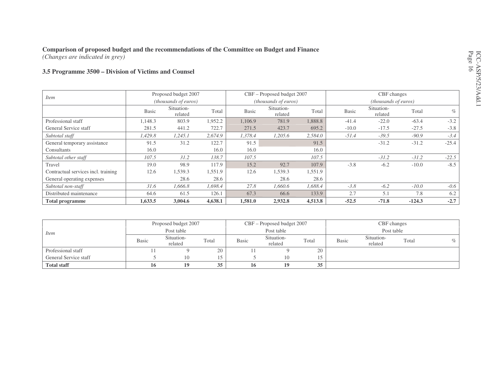*(Changes are indicated in grey)*

#### **3.5 Programme 3500 – Division of Victims and Counsel**

|                                     |              | Proposed budget 2007          |         |              | CBF – Proposed budget 2007 |         |              | CBF changes           |          |         |
|-------------------------------------|--------------|-------------------------------|---------|--------------|----------------------------|---------|--------------|-----------------------|----------|---------|
| <i>Item</i>                         |              | ( <i>thousands of euros</i> ) |         |              | (thousands of euros)       |         |              | (thousands of euros)  |          |         |
|                                     | <b>Basic</b> | Situation-<br>related         | Total   | <b>Basic</b> | Situation-<br>related      | Total   | <b>Basic</b> | Situation-<br>related | Total    | $\%$    |
| Professional staff                  | 1,148.3      | 803.9                         | 1,952.2 | 1,106.9      | 781.9                      | 1,888.8 | $-41.4$      | $-22.0$               | $-63.4$  | $-3.2$  |
| General Service staff               | 281.5        | 441.2                         | 722.7   | 271.5        | 423.7                      | 695.2   | $-10.0$      | $-17.5$               | $-27.5$  | $-3.8$  |
| Subtotal staff                      | 1,429.8      | 1,245.1                       | 2,674.9 | 1,378.4      | 1,205.6                    | 2,584.0 | $-51.4$      | $-39.5$               | $-90.9$  | $-3.4$  |
| General temporary assistance        | 91.5         | 31.2                          | 122.7   | 91.5         |                            | 91.5    |              | $-31.2$               | $-31.2$  | $-25.4$ |
| Consultants                         | 16.0         |                               | 16.0    | 16.0         |                            | 16.0    |              |                       |          |         |
| Subtotal other staff                | 107.5        | 31.2                          | 138.7   | 107.5        |                            | 107.5   |              | $-31.2$               | $-31.2$  | $-22.5$ |
| Travel                              | 19.0         | 98.9                          | 117.9   | 15.2         | 92.7                       | 107.9   | $-3.8$       | $-6.2$                | $-10.0$  | $-8.5$  |
| Contractual services incl. training | 12.6         | 1,539.3                       | 1,551.9 | 12.6         | 1,539.3                    | 1,551.9 |              |                       |          |         |
| General operating expenses          |              | 28.6                          | 28.6    |              | 28.6                       | 28.6    |              |                       |          |         |
| Subtotal non-staff                  | 31.6         | 1,666.8                       | 1,698.4 | 27.8         | 1,660.6                    | 1,688.4 | $-3.8$       | $-6.2$                | $-10.0$  | $-0.6$  |
| Distributed maintenance             | 64.6         | 61.5                          | 126.1   | 67.3         | 66.6                       | 133.9   | 2.7          | 5.1                   | 7.8      | 6.2     |
| <b>Total programme</b>              | 1,633.5      | 3,004.6                       | 4,638.1 | 1,581.0      | 2,932.8                    | 4,513.8 | $-52.5$      | $-71.8$               | $-124.3$ | $-2.7$  |

|                       |              | Proposed budget 2007  |       |              | $CBF - Proposed budget 2007$ |           | CBF changes  |                       |       |      |
|-----------------------|--------------|-----------------------|-------|--------------|------------------------------|-----------|--------------|-----------------------|-------|------|
| <i>Item</i>           |              | Post table            |       |              | Post table                   |           |              | Post table            |       |      |
|                       | <b>Basic</b> | Situation-<br>related | Total | <b>Basic</b> | Situation-<br>related        | Total     | <b>Basic</b> | Situation-<br>related | Total | $\%$ |
| Professional staff    |              |                       | 20    |              |                              | 20        |              |                       |       |      |
| General Service staff |              | 10                    | 15    |              | 10                           | 15<br>⊥ ⊃ |              |                       |       |      |
| <b>Total staff</b>    | 16           | 19                    | 35    | 16           | 19                           | 35        |              |                       |       |      |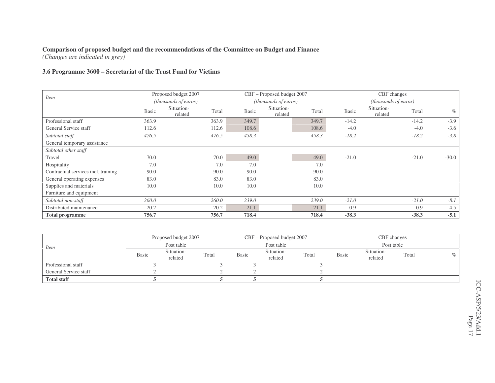*(Changes are indicated in grey)*

#### **3.6 Programme 3600 – Secretariat of the Trust Fund for Victims**

|                                     |       | Proposed budget 2007  |       |              | CBF - Proposed budget 2007  |       |              | CBF changes           |         |         |
|-------------------------------------|-------|-----------------------|-------|--------------|-----------------------------|-------|--------------|-----------------------|---------|---------|
| <i>Item</i>                         |       | (thousands of euros)  |       |              | <i>(thousands of euros)</i> |       |              | (thousands of euros)  |         |         |
|                                     | Basic | Situation-<br>related | Total | <b>Basic</b> | Situation-<br>related       | Total | <b>Basic</b> | Situation-<br>related | Total   | $\%$    |
| Professional staff                  | 363.9 |                       | 363.9 | 349.7        |                             | 349.7 | $-14.2$      |                       | $-14.2$ | $-3.9$  |
| General Service staff               | 112.6 |                       | 112.6 | 108.6        |                             | 108.6 | $-4.0$       |                       | $-4.0$  | $-3.6$  |
| Subtotal staff                      | 476.5 |                       | 476.5 | 458.3        |                             | 458.3 | $-18.2$      |                       | $-18.2$ | $-3.8$  |
| General temporary assistance        |       |                       |       |              |                             |       |              |                       |         |         |
| Subtotal other staff                |       |                       |       |              |                             |       |              |                       |         |         |
| Travel                              | 70.0  |                       | 70.0  | 49.0         |                             | 49.0  | $-21.0$      |                       | $-21.0$ | $-30.0$ |
| Hospitality                         | 7.0   |                       | 7.0   | 7.0          |                             | 7.0   |              |                       |         |         |
| Contractual services incl. training | 90.0  |                       | 90.0  | 90.0         |                             | 90.0  |              |                       |         |         |
| General operating expenses          | 83.0  |                       | 83.0  | 83.0         |                             | 83.0  |              |                       |         |         |
| Supplies and materials              | 10.0  |                       | 10.0  | 10.0         |                             | 10.0  |              |                       |         |         |
| Furniture and equipment             |       |                       |       |              |                             |       |              |                       |         |         |
| Subtotal non-staff                  | 260.0 |                       | 260.0 | 239.0        |                             | 239.0 | $-21.0$      |                       | $-21.0$ | $-8.1$  |
| Distributed maintenance             | 20.2  |                       | 20.2  | 21.1         |                             | 21.1  | 0.9          |                       | 0.9     | 4.5     |
| <b>Total programme</b>              | 756.7 |                       | 756.7 | 718.4        |                             | 718.4 | $-38.3$      |                       | $-38.3$ | $-5.1$  |

|                       |              | Proposed budget 2007  |       |              | $CBF -$ Proposed budget 2007 |       |              | CBF changes           |       |      |
|-----------------------|--------------|-----------------------|-------|--------------|------------------------------|-------|--------------|-----------------------|-------|------|
| <i>Item</i>           |              | Post table            |       |              | Post table                   |       |              | Post table            |       |      |
|                       | <b>Basic</b> | Situation-<br>related | Total | <b>Basic</b> | Situation-<br>related        | Total | <b>Basic</b> | Situation-<br>related | Total | $\%$ |
| Professional staff    |              |                       |       |              |                              |       |              |                       |       |      |
| General Service staff |              |                       |       |              |                              |       |              |                       |       |      |
| <b>Total staff</b>    |              |                       |       |              |                              |       |              |                       |       |      |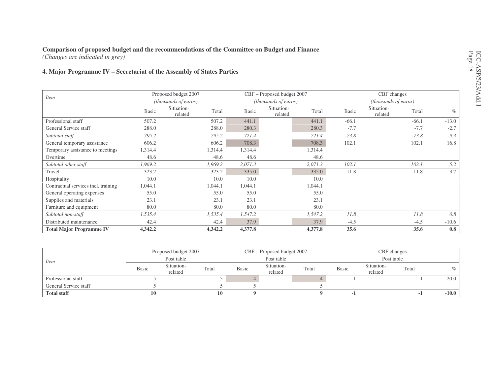#### **Comparison of proposed budget and the recommendations of the Committee on Budget and Finance** *(Changes are indicated in grey)*

**4. Major Programme IV – Secretariat of the Assembly of States Parties**

|                                     |              | Proposed budget 2007        |         |         | CBF – Proposed budget 2007  |         |              | CBF changes           |         |         |
|-------------------------------------|--------------|-----------------------------|---------|---------|-----------------------------|---------|--------------|-----------------------|---------|---------|
| <i>Item</i>                         |              | <i>(thousands of euros)</i> |         |         | <i>(thousands of euros)</i> |         |              | (thousands of euros)  |         |         |
|                                     | <b>Basic</b> | Situation-<br>related       | Total   | Basic   | Situation-<br>related       | Total   | <b>Basic</b> | Situation-<br>related | Total   | $\%$    |
| Professional staff                  | 507.2        |                             | 507.2   | 441.1   |                             | 441.1   | $-66.1$      |                       | $-66.1$ | $-13.0$ |
| General Service staff               | 288.0        |                             | 288.0   | 280.3   |                             | 280.3   | $-7.7$       |                       | $-7.7$  | $-2.7$  |
| Subtotal staff                      | 795.2        |                             | 795.2   | 721.4   |                             | 721.4   | $-73.8$      |                       | $-73.8$ | $-9.3$  |
| General temporary assistance        | 606.2        |                             | 606.2   | 708.3   |                             | 708.3   | 102.1        |                       | 102.1   | 16.8    |
| Temporary assistance to meetings    | 1,314.4      |                             | 1,314.4 | 1,314.4 |                             | 1,314.4 |              |                       |         |         |
| Overtime                            | 48.6         |                             | 48.6    | 48.6    |                             | 48.6    |              |                       |         |         |
| Subtotal other staff                | 1,969.2      |                             | 1,969.2 | 2,071.3 |                             | 2,071.3 | 102.1        |                       | 102.1   | 5.2     |
| Travel                              | 323.2        |                             | 323.2   | 335.0   |                             | 335.0   | 11.8         |                       | 11.8    | 3.7     |
| Hospitality                         | 10.0         |                             | 10.0    | 10.0    |                             | 10.0    |              |                       |         |         |
| Contractual services incl. training | 1,044.1      |                             | 1,044.1 | 1,044.1 |                             | 1,044.1 |              |                       |         |         |
| General operating expenses          | 55.0         |                             | 55.0    | 55.0    |                             | 55.0    |              |                       |         |         |
| Supplies and materials              | 23.1         |                             | 23.1    | 23.1    |                             | 23.1    |              |                       |         |         |
| Furniture and equipment             | 80.0         |                             | 80.0    | 80.0    |                             | 80.0    |              |                       |         |         |
| Subtotal non-staff                  | 1,535.4      |                             | 1,535.4 | 1,547.2 |                             | 1,547.2 | 11.8         |                       | 11.8    | 0.8     |
| Distributed maintenance             | 42.4         |                             | 42.4    | 37.9    |                             | 37.9    | $-4.5$       |                       | $-4.5$  | $-10.6$ |
| <b>Total Major Programme IV</b>     | 4,342.2      |                             | 4,342.2 | 4,377.8 |                             | 4,377.8 | 35.6         |                       | 35.6    | 0.8     |

|                       |              | Proposed budget 2007  |       |              | CBF – Proposed budget 2007 |       |              |                       | CBF changes |         |
|-----------------------|--------------|-----------------------|-------|--------------|----------------------------|-------|--------------|-----------------------|-------------|---------|
| <i>Item</i>           |              | Post table            |       |              | Post table                 |       |              |                       | Post table  |         |
|                       | <b>Basic</b> | Situation-<br>related | Total | <b>Basic</b> | Situation-<br>related      | Total | <b>Basic</b> | Situation-<br>related | Total       | $\%$    |
| Professional staff    |              |                       |       |              |                            |       |              |                       |             | $-20.0$ |
| General Service staff |              |                       |       |              |                            |       |              |                       |             |         |
| <b>Total staff</b>    | 10           |                       | 10    |              |                            |       |              |                       |             | $-10.0$ |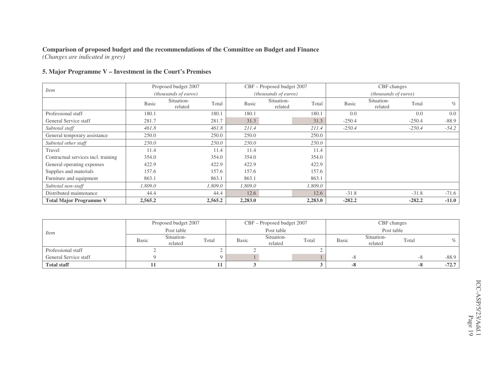*(Changes are indicated in grey)*

#### **5. Major Programme V – Investment in the Court's Premises**

|                                     |              | Proposed budget 2007           |              | CBF - Proposed budget 2007  |         |              | CBF changes           |          |         |
|-------------------------------------|--------------|--------------------------------|--------------|-----------------------------|---------|--------------|-----------------------|----------|---------|
| <i>Item</i>                         |              | (thousands of euros)           |              | <i>(thousands of euros)</i> |         |              | (thousands of euros)  |          |         |
|                                     | <b>Basic</b> | Situation-<br>Total<br>related | <b>Basic</b> | Situation-<br>related       | Total   | <b>Basic</b> | Situation-<br>related | Total    | $\%$    |
| Professional staff                  | 180.1        | 180.1                          | 180.1        |                             | 180.1   | 0.0          |                       | 0.0      | 0.0     |
| General Service staff               | 281.7        | 281.7                          | 31.3         |                             | 31.3    | $-250.4$     |                       | $-250.4$ | $-88.9$ |
| Subtotal staff                      | 461.8        | 461.8                          | 211.4        |                             | 211.4   | $-250.4$     |                       | $-250.4$ | $-54.2$ |
| General temporary assistance        | 250.0        | 250.0                          | 250.0        |                             | 250.0   |              |                       |          |         |
| Subtotal other staff                | 250.0        | 250.0                          | 250.0        |                             | 250.0   |              |                       |          |         |
| Travel                              | 11.4         | 11.4                           | 11.4         |                             | 11.4    |              |                       |          |         |
| Contractual services incl. training | 354.0        | 354.0                          | 354.0        |                             | 354.0   |              |                       |          |         |
| General operating expenses          | 422.9        | 422.9                          | 422.9        |                             | 422.9   |              |                       |          |         |
| Supplies and materials              | 157.6        | 157.6                          | 157.6        |                             | 157.6   |              |                       |          |         |
| Furniture and equipment             | 863.1        | 863.1                          | 863.1        |                             | 863.1   |              |                       |          |         |
| Subtotal non-staff                  | 1,809.0      | 1,809.0                        | 1,809.0      |                             | 1,809.0 |              |                       |          |         |
| Distributed maintenance             | 44.4         | 44.4                           | 12.6         |                             | 12.6    | $-31.8$      |                       | $-31.8$  | $-71.6$ |
| <b>Total Major Programme V</b>      | 2,565.2      | 2,565.2                        | 2,283.0      |                             | 2,283.0 | $-282.2$     |                       | $-282.2$ | $-11.0$ |

|                       |              | Proposed budget 2007  |       |              | CBF – Proposed budget 2007 |       |              |                       | CBF changes |         |
|-----------------------|--------------|-----------------------|-------|--------------|----------------------------|-------|--------------|-----------------------|-------------|---------|
| <i>Item</i>           |              | Post table            |       |              | Post table                 |       |              | Post table            |             |         |
|                       | <b>Basic</b> | Situation-<br>related | Total | <b>Basic</b> | Situation-<br>related      | Total | <b>Basic</b> | Situation-<br>related | Total       | $\%$    |
| Professional staff    |              |                       |       |              |                            |       |              |                       |             |         |
| General Service staff |              |                       |       |              |                            |       | -^           |                       | -0          | $-88.9$ |
| <b>Total staff</b>    |              |                       |       |              |                            |       | -0           |                       | -0          | $-72.7$ |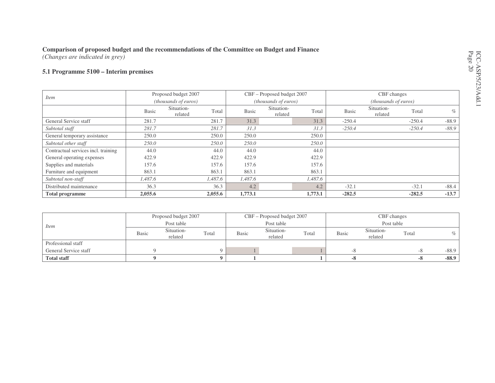*(Changes are indicated in grey)*

#### **5.1 Programme 5100 – Interim premises**

|                                     |              | Proposed budget 2007           | CBF - Proposed budget 2007 |                       |         | CBF changes  |                               |                                          |         |  |
|-------------------------------------|--------------|--------------------------------|----------------------------|-----------------------|---------|--------------|-------------------------------|------------------------------------------|---------|--|
| <i>Item</i>                         |              | (thousands of euros)           |                            | (thousands of euros)  |         |              | ( <i>thousands of euros</i> ) | Total<br>$-250.4$<br>$-250.4$<br>$-32.1$ |         |  |
|                                     | <b>Basic</b> | Situation-<br>Total<br>related | <b>Basic</b>               | Situation-<br>related | Total   | <b>Basic</b> | Situation-<br>related         |                                          | $\%$    |  |
| General Service staff               | 281.7        | 281.7                          | 31.3                       |                       | 31.3    | $-250.4$     |                               |                                          | $-88.9$ |  |
| Subtotal staff                      | 281.7        | 281.7                          | 31.3                       |                       | 31.3    | $-250.4$     |                               |                                          | $-88.9$ |  |
| General temporary assistance        | 250.0        | 250.0                          | 250.0                      |                       | 250.0   |              |                               |                                          |         |  |
| Subtotal other staff                | 250.0        | 250.0                          | 250.0                      |                       | 250.0   |              |                               |                                          |         |  |
| Contractual services incl. training | 44.0         | 44.0                           | 44.0                       |                       | 44.0    |              |                               |                                          |         |  |
| General operating expenses          | 422.9        | 422.9                          | 422.9                      |                       | 422.9   |              |                               |                                          |         |  |
| Supplies and materials              | 157.6        | 157.6                          | 157.6                      |                       | 157.6   |              |                               |                                          |         |  |
| Furniture and equipment             | 863.1        | 863.1                          | 863.1                      |                       | 863.1   |              |                               |                                          |         |  |
| Subtotal non-staff                  | 1.487.6      | 1,487.6                        | 1,487.6                    |                       | 1,487.6 |              |                               |                                          |         |  |
| Distributed maintenance             | 36.3         | 36.3                           | 4.2                        |                       | 4.2     | $-32.1$      |                               |                                          | $-88.4$ |  |
| <b>Total programme</b>              | 2,055.6      | 2,055.6                        | 1,773.1                    |                       | 1,773.1 | $-282.5$     |                               | $-282.5$                                 | $-13.7$ |  |

| <i>Item</i>           | Proposed budget 2007 |                       |       | CBF - Proposed budget 2007 |                       |       | CBF changes  |                       |       |         |
|-----------------------|----------------------|-----------------------|-------|----------------------------|-----------------------|-------|--------------|-----------------------|-------|---------|
|                       | Post table           |                       |       | Post table                 |                       |       | Post table   |                       |       |         |
|                       | <b>Basic</b>         | Situation-<br>related | Total | Basic                      | Situation-<br>related | Total | <b>Basic</b> | Situation-<br>related | Total |         |
| Professional staff    |                      |                       |       |                            |                       |       |              |                       |       |         |
| General Service staff |                      |                       |       |                            |                       |       | -^           |                       | -0    | $-88.9$ |
| <b>Total staff</b>    |                      |                       |       |                            |                       |       | -8           |                       | -0    | $-88.9$ |